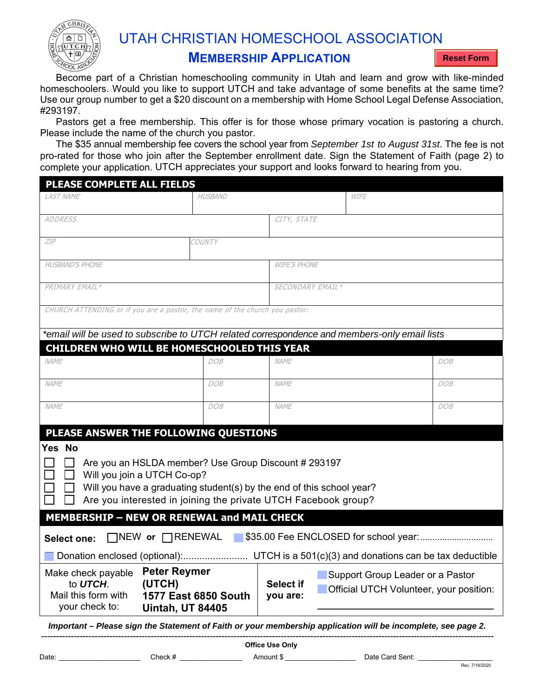

## UTAH CHRISTIAN HOMESCHOOL ASSOCIATION

## **MEMBERSHIP APPLICATION**

**Reset Form**

**.**  Use our group number to get a \$20 discount on a membership with Home School Legal Defense Association, Become part of a Christian homeschooling community in Utah and learn and grow with like-minded homeschoolers. Would you like to support UTCH and take advantage of some benefits at the same time? #293197.

Pastors get a free membership. This offer is for those whose primary vocation is pastoring a church. Please include the name of the church you pastor.

The \$35 annual membership fee covers the school year from *September 1st to August 31st*. The fee is not pro-rated for those who join after the September enrollment date. Sign the Statement of Faith (page 2) to complete your application. UTCH appreciates your support and looks forward to hearing from you.

| <b>PLEASE COMPLETE ALL FIELDS</b>                                                                                                                                                                                                                                          |                |                     |             |     |
|----------------------------------------------------------------------------------------------------------------------------------------------------------------------------------------------------------------------------------------------------------------------------|----------------|---------------------|-------------|-----|
| <b>I AST NAME</b>                                                                                                                                                                                                                                                          | <b>HUSBAND</b> |                     | <b>WIFE</b> |     |
| <b>ADDRESS</b>                                                                                                                                                                                                                                                             |                | CITY, STATE         |             |     |
| <b>ZIP</b>                                                                                                                                                                                                                                                                 | COUNTY         |                     |             |     |
| <b>HUSBAND'S PHONE</b>                                                                                                                                                                                                                                                     |                | <b>WIFE'S PHONE</b> |             |     |
| PRIMARY EMAIL*                                                                                                                                                                                                                                                             |                | SECONDARY EMAIL*    |             |     |
| CHURCH ATTENDING or if you are a pastor, the name of the church you pastor:                                                                                                                                                                                                |                |                     |             |     |
| *email will be used to subscribe to UTCH related correspondence and members-only email lists                                                                                                                                                                               |                |                     |             |     |
| <b>CHILDREN WHO WILL BE HOMESCHOOLED THIS YEAR</b>                                                                                                                                                                                                                         |                |                     |             |     |
| <b>NAME</b>                                                                                                                                                                                                                                                                | DOB            | NAME                |             | DOB |
| NAME                                                                                                                                                                                                                                                                       | DOB            | NAME                |             | DOB |
| NAME                                                                                                                                                                                                                                                                       | DOB            | NAME                |             | DOB |
| PLEASE ANSWER THE FOLLOWING QUESTIONS                                                                                                                                                                                                                                      |                |                     |             |     |
| Yes No<br>Are you an HSLDA member? Use Group Discount # 293197<br>Will you join a UTCH Co-op?<br>Will you have a graduating student(s) by the end of this school year?<br>Are you interested in joining the private UTCH Facebook group?                                   |                |                     |             |     |
| <b>MEMBERSHIP - NEW OR RENEWAL and MAIL CHECK</b>                                                                                                                                                                                                                          |                |                     |             |     |
| $\Box$ NEW or $\Box$ RENEWAL<br><b>Select one:</b>                                                                                                                                                                                                                         |                |                     |             |     |
|                                                                                                                                                                                                                                                                            |                |                     |             |     |
| <b>Peter Reymer</b><br>Make check payable<br>Support Group Leader or a Pastor<br>to UTCH.<br>(UTCH)<br><b>Select if</b><br>Official UTCH Volunteer, your position:<br>Mail this form with<br>1577 East 6850 South<br>you are:<br>your check to:<br><b>Uintah, UT 84405</b> |                |                     |             |     |
| Important - Plogso sign the Statement of Faith or your membership application will be incomplete, see nage 2                                                                                                                                                               |                |                     |             |     |

*Important – Please sign the Statement of Faith or your membership application will be incomplete, see page 2.*